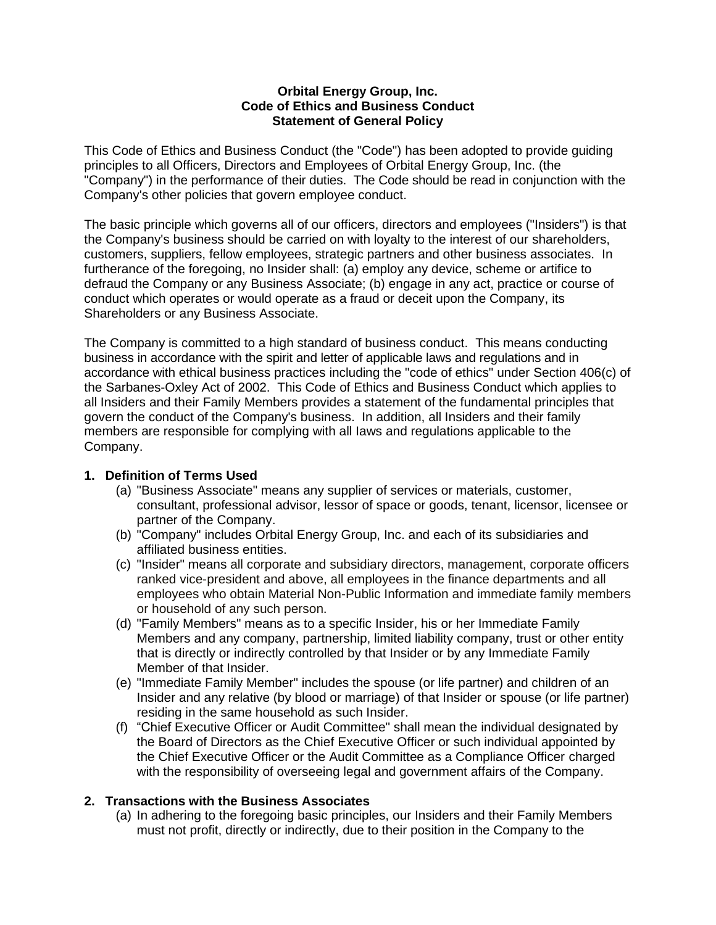#### **Orbital Energy Group, Inc. Code of Ethics and Business Conduct Statement of General Policy**

This Code of Ethics and Business Conduct (the "Code") has been adopted to provide guiding principles to all Officers, Directors and Employees of Orbital Energy Group, Inc. (the "Company") in the performance of their duties. The Code should be read in conjunction with the Company's other policies that govern employee conduct.

The basic principle which governs all of our officers, directors and employees ("Insiders") is that the Company's business should be carried on with loyalty to the interest of our shareholders, customers, suppliers, fellow employees, strategic partners and other business associates. In furtherance of the foregoing, no Insider shall: (a) employ any device, scheme or artifice to defraud the Company or any Business Associate; (b) engage in any act, practice or course of conduct which operates or would operate as a fraud or deceit upon the Company, its Shareholders or any Business Associate.

The Company is committed to a high standard of business conduct. This means conducting business in accordance with the spirit and letter of applicable laws and regulations and in accordance with ethical business practices including the "code of ethics" under Section 406(c) of the Sarbanes-Oxley Act of 2002. This Code of Ethics and Business Conduct which applies to all Insiders and their Family Members provides a statement of the fundamental principles that govern the conduct of the Company's business. In addition, all Insiders and their family members are responsible for complying with all Iaws and regulations applicable to the Company.

### **1. Definition of Terms Used**

- (a) "Business Associate" means any supplier of services or materials, customer, consultant, professional advisor, lessor of space or goods, tenant, licensor, licensee or partner of the Company.
- (b) "Company" includes Orbital Energy Group, Inc. and each of its subsidiaries and affiliated business entities.
- (c) "Insider" means all corporate and subsidiary directors, management, corporate officers ranked vice-president and above, all employees in the finance departments and all employees who obtain Material Non-Public Information and immediate family members or household of any such person.
- (d) "Family Members" means as to a specific Insider, his or her Immediate Family Members and any company, partnership, limited liability company, trust or other entity that is directly or indirectly controlled by that Insider or by any Immediate Family Member of that Insider.
- (e) "Immediate Family Member" includes the spouse (or life partner) and children of an Insider and any relative (by blood or marriage) of that Insider or spouse (or life partner) residing in the same household as such Insider.
- (f) "Chief Executive Officer or Audit Committee" shall mean the individual designated by the Board of Directors as the Chief Executive Officer or such individual appointed by the Chief Executive Officer or the Audit Committee as a Compliance Officer charged with the responsibility of overseeing legal and government affairs of the Company.

### **2. Transactions with the Business Associates**

(a) In adhering to the foregoing basic principles, our Insiders and their Family Members must not profit, directly or indirectly, due to their position in the Company to the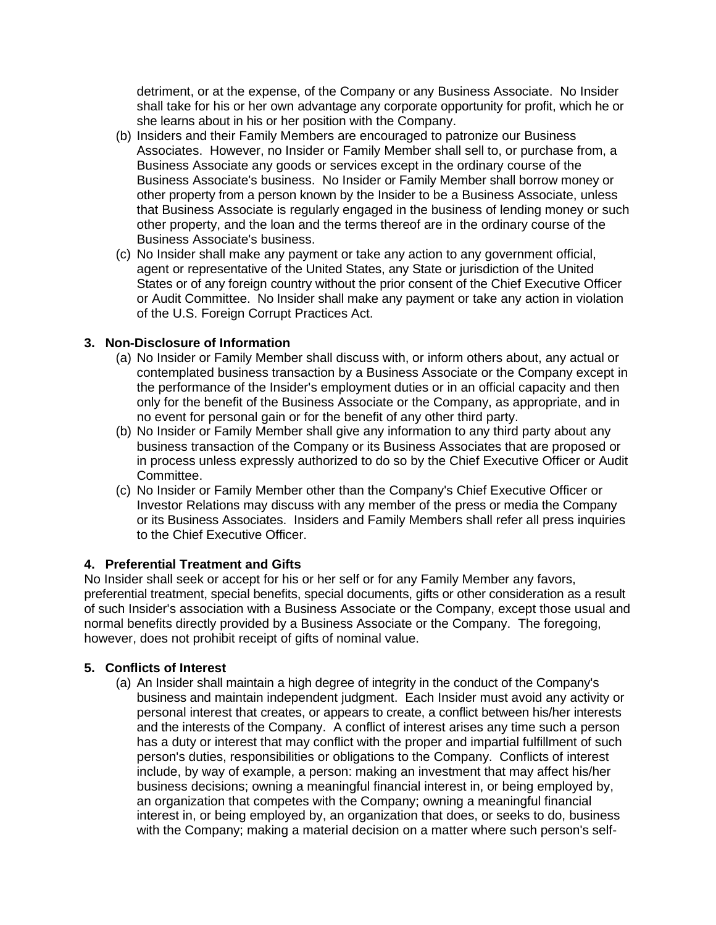detriment, or at the expense, of the Company or any Business Associate. No Insider shall take for his or her own advantage any corporate opportunity for profit, which he or she learns about in his or her position with the Company.

- (b) Insiders and their Family Members are encouraged to patronize our Business Associates. However, no Insider or Family Member shall sell to, or purchase from, a Business Associate any goods or services except in the ordinary course of the Business Associate's business. No Insider or Family Member shall borrow money or other property from a person known by the Insider to be a Business Associate, unless that Business Associate is regularly engaged in the business of lending money or such other property, and the loan and the terms thereof are in the ordinary course of the Business Associate's business.
- (c) No Insider shall make any payment or take any action to any government official, agent or representative of the United States, any State or jurisdiction of the United States or of any foreign country without the prior consent of the Chief Executive Officer or Audit Committee. No Insider shall make any payment or take any action in violation of the U.S. Foreign Corrupt Practices Act.

### **3. Non-Disclosure of Information**

- (a) No Insider or Family Member shall discuss with, or inform others about, any actual or contemplated business transaction by a Business Associate or the Company except in the performance of the Insider's employment duties or in an official capacity and then only for the benefit of the Business Associate or the Company, as appropriate, and in no event for personal gain or for the benefit of any other third party.
- (b) No Insider or Family Member shall give any information to any third party about any business transaction of the Company or its Business Associates that are proposed or in process unless expressly authorized to do so by the Chief Executive Officer or Audit Committee.
- (c) No Insider or Family Member other than the Company's Chief Executive Officer or Investor Relations may discuss with any member of the press or media the Company or its Business Associates. Insiders and Family Members shall refer all press inquiries to the Chief Executive Officer.

### **4. Preferential Treatment and Gifts**

No Insider shall seek or accept for his or her self or for any Family Member any favors, preferential treatment, special benefits, special documents, gifts or other consideration as a result of such Insider's association with a Business Associate or the Company, except those usual and normal benefits directly provided by a Business Associate or the Company. The foregoing, however, does not prohibit receipt of gifts of nominal value.

### **5. Conflicts of Interest**

(a) An Insider shall maintain a high degree of integrity in the conduct of the Company's business and maintain independent judgment. Each Insider must avoid any activity or personal interest that creates, or appears to create, a conflict between his/her interests and the interests of the Company. A conflict of interest arises any time such a person has a duty or interest that may conflict with the proper and impartial fulfillment of such person's duties, responsibilities or obligations to the Company. Conflicts of interest include, by way of example, a person: making an investment that may affect his/her business decisions; owning a meaningful financial interest in, or being employed by, an organization that competes with the Company; owning a meaningful financial interest in, or being employed by, an organization that does, or seeks to do, business with the Company; making a material decision on a matter where such person's self-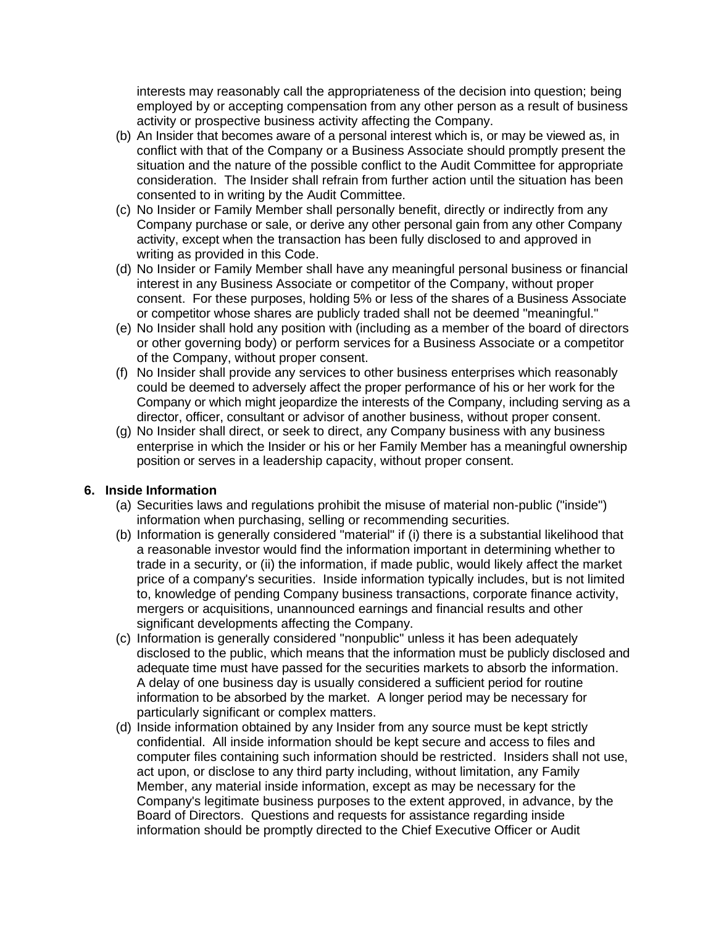interests may reasonably call the appropriateness of the decision into question; being employed by or accepting compensation from any other person as a result of business activity or prospective business activity affecting the Company.

- (b) An Insider that becomes aware of a personal interest which is, or may be viewed as, in conflict with that of the Company or a Business Associate should promptly present the situation and the nature of the possible conflict to the Audit Committee for appropriate consideration. The Insider shall refrain from further action until the situation has been consented to in writing by the Audit Committee.
- (c) No Insider or Family Member shall personally benefit, directly or indirectly from any Company purchase or sale, or derive any other personal gain from any other Company activity, except when the transaction has been fully disclosed to and approved in writing as provided in this Code.
- (d) No Insider or Family Member shall have any meaningful personal business or financial interest in any Business Associate or competitor of the Company, without proper consent. For these purposes, holding 5% or Iess of the shares of a Business Associate or competitor whose shares are publicly traded shall not be deemed "meaningful."
- (e) No Insider shall hold any position with (including as a member of the board of directors or other governing body) or perform services for a Business Associate or a competitor of the Company, without proper consent.
- (f) No Insider shall provide any services to other business enterprises which reasonably could be deemed to adversely affect the proper performance of his or her work for the Company or which might jeopardize the interests of the Company, including serving as a director, officer, consultant or advisor of another business, without proper consent.
- (g) No Insider shall direct, or seek to direct, any Company business with any business enterprise in which the Insider or his or her Family Member has a meaningful ownership position or serves in a leadership capacity, without proper consent.

### **6. Inside Information**

- (a) Securities laws and regulations prohibit the misuse of material non-public ("inside") information when purchasing, selling or recommending securities.
- (b) Information is generally considered "material" if (i) there is a substantial likelihood that a reasonable investor would find the information important in determining whether to trade in a security, or (ii) the information, if made public, would likely affect the market price of a company's securities. Inside information typically includes, but is not limited to, knowledge of pending Company business transactions, corporate finance activity, mergers or acquisitions, unannounced earnings and financial results and other significant developments affecting the Company.
- (c) Information is generally considered "nonpublic" unless it has been adequately disclosed to the public, which means that the information must be publicly disclosed and adequate time must have passed for the securities markets to absorb the information. A delay of one business day is usually considered a sufficient period for routine information to be absorbed by the market. A longer period may be necessary for particularly significant or complex matters.
- (d) Inside information obtained by any Insider from any source must be kept strictly confidential. All inside information should be kept secure and access to files and computer files containing such information should be restricted. Insiders shall not use, act upon, or disclose to any third party including, without limitation, any Family Member, any material inside information, except as may be necessary for the Company's legitimate business purposes to the extent approved, in advance, by the Board of Directors. Questions and requests for assistance regarding inside information should be promptly directed to the Chief Executive Officer or Audit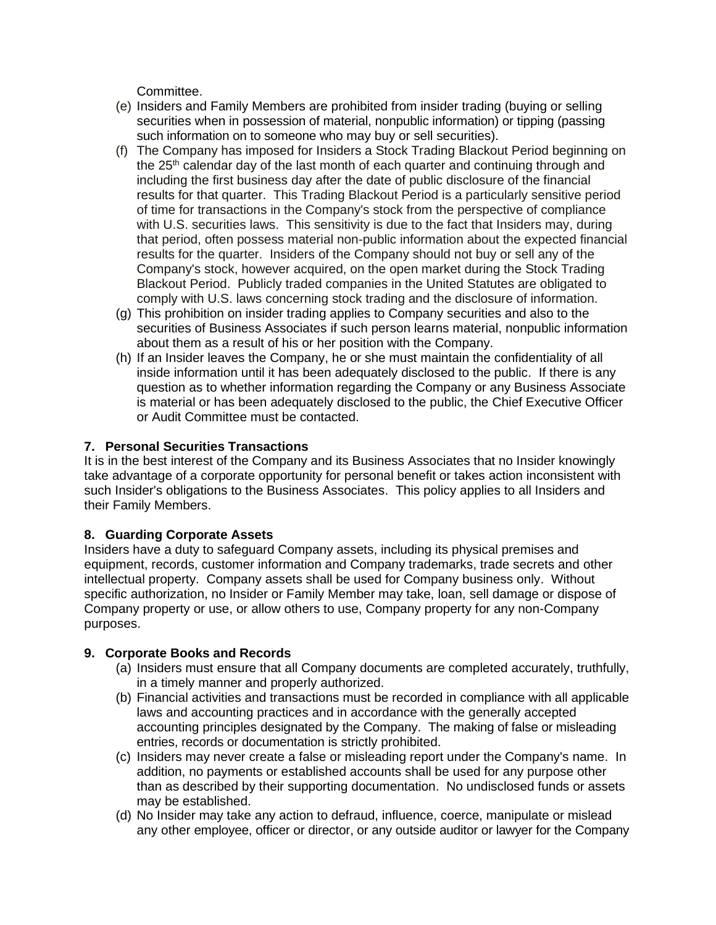Committee.

- (e) Insiders and Family Members are prohibited from insider trading (buying or selling securities when in possession of material, nonpublic information) or tipping (passing such information on to someone who may buy or sell securities).
- (f) The Company has imposed for Insiders a Stock Trading Blackout Period beginning on the  $25<sup>th</sup>$  calendar day of the last month of each quarter and continuing through and including the first business day after the date of public disclosure of the financial results for that quarter. This Trading Blackout Period is a particularly sensitive period of time for transactions in the Company's stock from the perspective of compliance with U.S. securities laws. This sensitivity is due to the fact that Insiders may, during that period, often possess material non-public information about the expected financial results for the quarter. Insiders of the Company should not buy or sell any of the Company's stock, however acquired, on the open market during the Stock Trading Blackout Period. Publicly traded companies in the United Statutes are obligated to comply with U.S. laws concerning stock trading and the disclosure of information.
- (g) This prohibition on insider trading applies to Company securities and also to the securities of Business Associates if such person learns material, nonpublic information about them as a result of his or her position with the Company.
- (h) If an Insider leaves the Company, he or she must maintain the confidentiality of all inside information until it has been adequately disclosed to the public. If there is any question as to whether information regarding the Company or any Business Associate is material or has been adequately disclosed to the public, the Chief Executive Officer or Audit Committee must be contacted.

## **7. Personal Securities Transactions**

It is in the best interest of the Company and its Business Associates that no Insider knowingly take advantage of a corporate opportunity for personal benefit or takes action inconsistent with such Insider's obligations to the Business Associates. This policy applies to all Insiders and their Family Members.

# **8. Guarding Corporate Assets**

Insiders have a duty to safeguard Company assets, including its physical premises and equipment, records, customer information and Company trademarks, trade secrets and other intellectual property. Company assets shall be used for Company business only. Without specific authorization, no Insider or Family Member may take, loan, sell damage or dispose of Company property or use, or allow others to use, Company property for any non-Company purposes.

# **9. Corporate Books and Records**

- (a) Insiders must ensure that all Company documents are completed accurately, truthfully, in a timely manner and properly authorized.
- (b) Financial activities and transactions must be recorded in compliance with all applicable laws and accounting practices and in accordance with the generally accepted accounting principles designated by the Company. The making of false or misleading entries, records or documentation is strictly prohibited.
- (c) Insiders may never create a false or misleading report under the Company's name. In addition, no payments or established accounts shall be used for any purpose other than as described by their supporting documentation. No undisclosed funds or assets may be established.
- (d) No Insider may take any action to defraud, influence, coerce, manipulate or mislead any other employee, officer or director, or any outside auditor or lawyer for the Company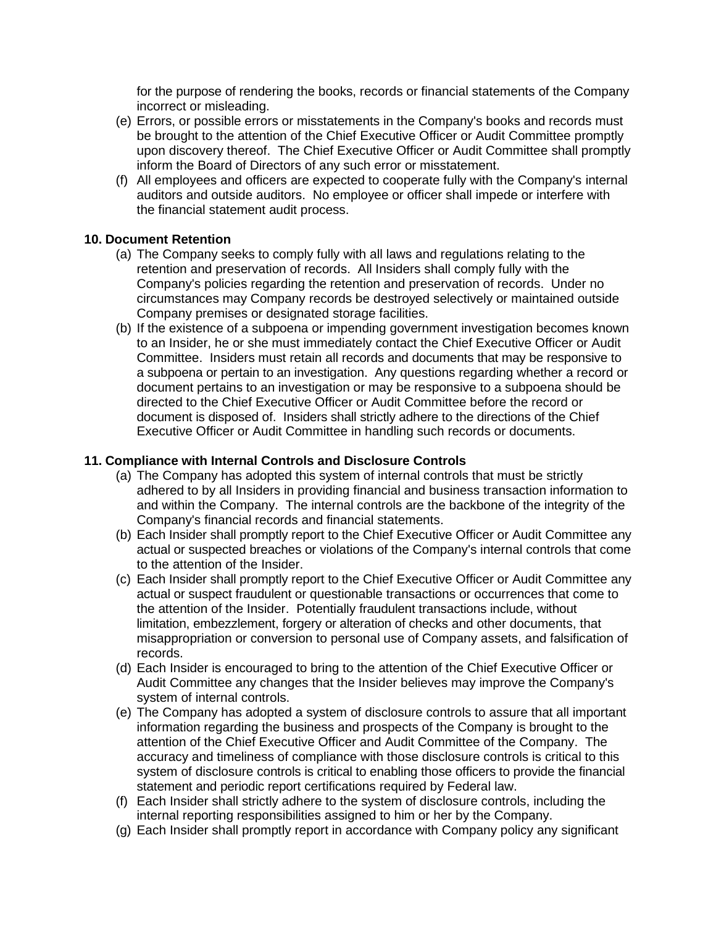for the purpose of rendering the books, records or financial statements of the Company incorrect or misleading.

- (e) Errors, or possible errors or misstatements in the Company's books and records must be brought to the attention of the Chief Executive Officer or Audit Committee promptly upon discovery thereof. The Chief Executive Officer or Audit Committee shall promptly inform the Board of Directors of any such error or misstatement.
- (f) All employees and officers are expected to cooperate fully with the Company's internal auditors and outside auditors. No employee or officer shall impede or interfere with the financial statement audit process.

#### **10. Document Retention**

- (a) The Company seeks to comply fully with all laws and regulations relating to the retention and preservation of records. All Insiders shall comply fully with the Company's policies regarding the retention and preservation of records. Under no circumstances may Company records be destroyed selectively or maintained outside Company premises or designated storage facilities.
- (b) If the existence of a subpoena or impending government investigation becomes known to an Insider, he or she must immediately contact the Chief Executive Officer or Audit Committee. Insiders must retain all records and documents that may be responsive to a subpoena or pertain to an investigation. Any questions regarding whether a record or document pertains to an investigation or may be responsive to a subpoena should be directed to the Chief Executive Officer or Audit Committee before the record or document is disposed of. Insiders shall strictly adhere to the directions of the Chief Executive Officer or Audit Committee in handling such records or documents.

### **11. Compliance with Internal Controls and Disclosure Controls**

- (a) The Company has adopted this system of internal controls that must be strictly adhered to by all Insiders in providing financial and business transaction information to and within the Company. The internal controls are the backbone of the integrity of the Company's financial records and financial statements.
- (b) Each Insider shall promptly report to the Chief Executive Officer or Audit Committee any actual or suspected breaches or violations of the Company's internal controls that come to the attention of the Insider.
- (c) Each Insider shall promptly report to the Chief Executive Officer or Audit Committee any actual or suspect fraudulent or questionable transactions or occurrences that come to the attention of the Insider. Potentially fraudulent transactions include, without limitation, embezzlement, forgery or alteration of checks and other documents, that misappropriation or conversion to personal use of Company assets, and falsification of records.
- (d) Each Insider is encouraged to bring to the attention of the Chief Executive Officer or Audit Committee any changes that the Insider believes may improve the Company's system of internal controls.
- (e) The Company has adopted a system of disclosure controls to assure that all important information regarding the business and prospects of the Company is brought to the attention of the Chief Executive Officer and Audit Committee of the Company. The accuracy and timeliness of compliance with those disclosure controls is critical to this system of disclosure controls is critical to enabling those officers to provide the financial statement and periodic report certifications required by Federal law.
- (f) Each Insider shall strictly adhere to the system of disclosure controls, including the internal reporting responsibilities assigned to him or her by the Company.
- (g) Each Insider shall promptly report in accordance with Company policy any significant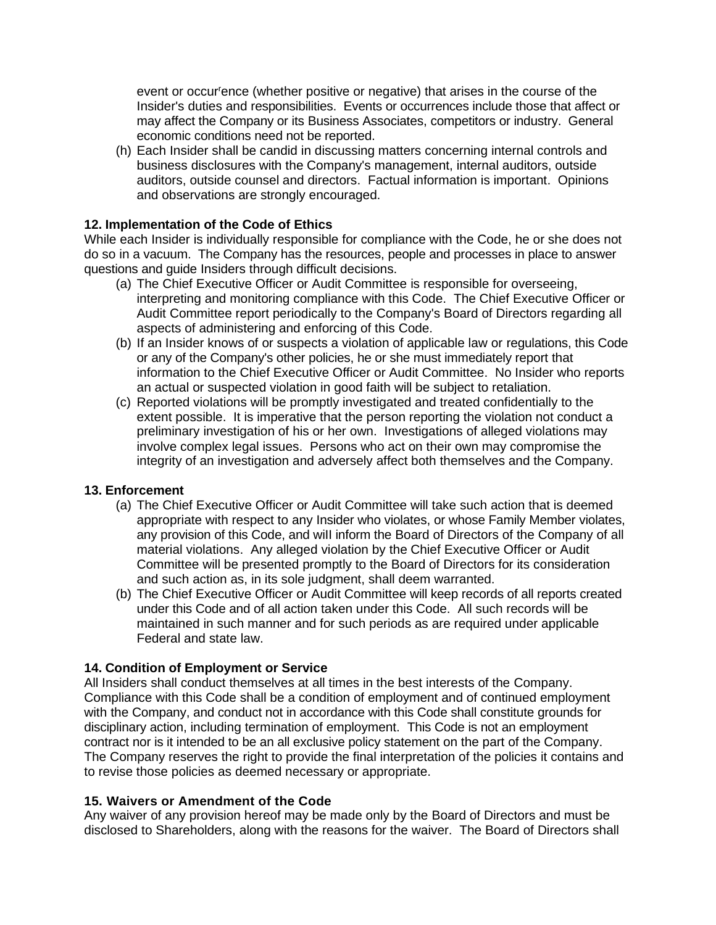event or occur<sup>r</sup>ence (whether positive or negative) that arises in the course of the Insider's duties and responsibilities. Events or occurrences include those that affect or may affect the Company or its Business Associates, competitors or industry. General economic conditions need not be reported.

(h) Each Insider shall be candid in discussing matters concerning internal controls and business disclosures with the Company's management, internal auditors, outside auditors, outside counsel and directors. Factual information is important. Opinions and observations are strongly encouraged.

### **12. Implementation of the Code of Ethics**

While each Insider is individually responsible for compliance with the Code, he or she does not do so in a vacuum. The Company has the resources, people and processes in place to answer questions and guide Insiders through difficult decisions.

- (a) The Chief Executive Officer or Audit Committee is responsible for overseeing, interpreting and monitoring compliance with this Code. The Chief Executive Officer or Audit Committee report periodically to the Company's Board of Directors regarding all aspects of administering and enforcing of this Code.
- (b) If an Insider knows of or suspects a violation of applicable law or regulations, this Code or any of the Company's other policies, he or she must immediately report that information to the Chief Executive Officer or Audit Committee. No Insider who reports an actual or suspected violation in good faith will be subject to retaliation.
- (c) Reported violations will be promptly investigated and treated confidentially to the extent possible. It is imperative that the person reporting the violation not conduct a preliminary investigation of his or her own. Investigations of alleged violations may involve complex legal issues. Persons who act on their own may compromise the integrity of an investigation and adversely affect both themselves and the Company.

### **13. Enforcement**

- (a) The Chief Executive Officer or Audit Committee will take such action that is deemed appropriate with respect to any Insider who violates, or whose Family Member violates, any provision of this Code, and wiII inform the Board of Directors of the Company of all material violations. Any alleged violation by the Chief Executive Officer or Audit Committee will be presented promptly to the Board of Directors for its consideration and such action as, in its sole judgment, shall deem warranted.
- (b) The Chief Executive Officer or Audit Committee will keep records of all reports created under this Code and of all action taken under this Code. All such records will be maintained in such manner and for such periods as are required under applicable Federal and state law.

### **14. Condition of Employment or Service**

All Insiders shall conduct themselves at all times in the best interests of the Company. Compliance with this Code shall be a condition of employment and of continued employment with the Company, and conduct not in accordance with this Code shall constitute grounds for disciplinary action, including termination of employment. This Code is not an employment contract nor is it intended to be an all exclusive policy statement on the part of the Company. The Company reserves the right to provide the final interpretation of the policies it contains and to revise those policies as deemed necessary or appropriate.

### **15. Waivers or Amendment of the Code**

Any waiver of any provision hereof may be made only by the Board of Directors and must be disclosed to Shareholders, along with the reasons for the waiver. The Board of Directors shall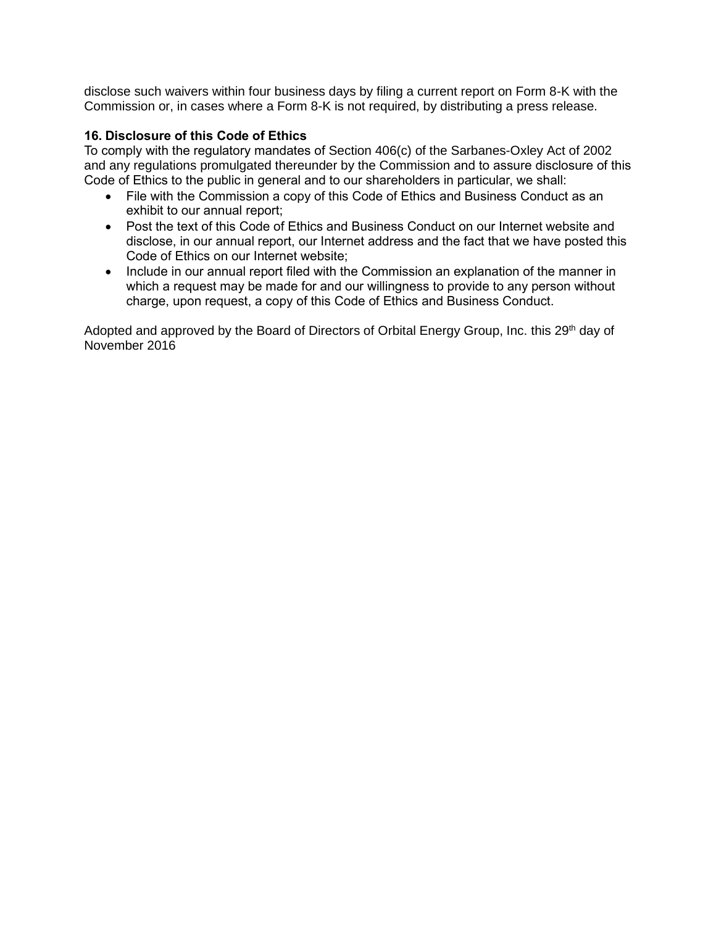disclose such waivers within four business days by filing a current report on Form 8-K with the Commission or, in cases where a Form 8-K is not required, by distributing a press release.

### **16. Disclosure of this Code of Ethics**

To comply with the regulatory mandates of Section 406(c) of the Sarbanes-Oxley Act of 2002 and any regulations promulgated thereunder by the Commission and to assure disclosure of this Code of Ethics to the public in general and to our shareholders in particular, we shall:

- File with the Commission a copy of this Code of Ethics and Business Conduct as an exhibit to our annual report;
- Post the text of this Code of Ethics and Business Conduct on our Internet website and disclose, in our annual report, our Internet address and the fact that we have posted this Code of Ethics on our Internet website;
- Include in our annual report filed with the Commission an explanation of the manner in which a request may be made for and our willingness to provide to any person without charge, upon request, a copy of this Code of Ethics and Business Conduct.

Adopted and approved by the Board of Directors of Orbital Energy Group, Inc. this 29<sup>th</sup> day of November 2016